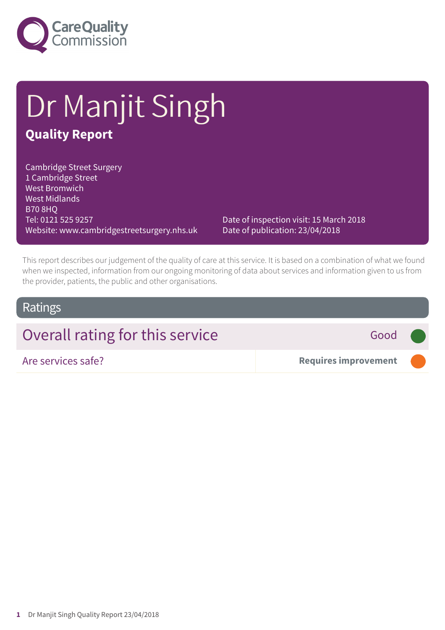

# Dr Manjit Singh **Quality Report**

Cambridge Street Surgery 1 Cambridge Street West Bromwich West Midlands B70 8HQ Tel: 0121 525 9257 Website: www.cambridgestreetsurgery.nhs.uk

Date of inspection visit: 15 March 2018 Date of publication: 23/04/2018

This report describes our judgement of the quality of care at this service. It is based on a combination of what we found when we inspected, information from our ongoing monitoring of data about services and information given to us from the provider, patients, the public and other organisations.

### Ratings

## Overall rating for this service **Figure 4** Good

Are services safe? **Requires improvement –––**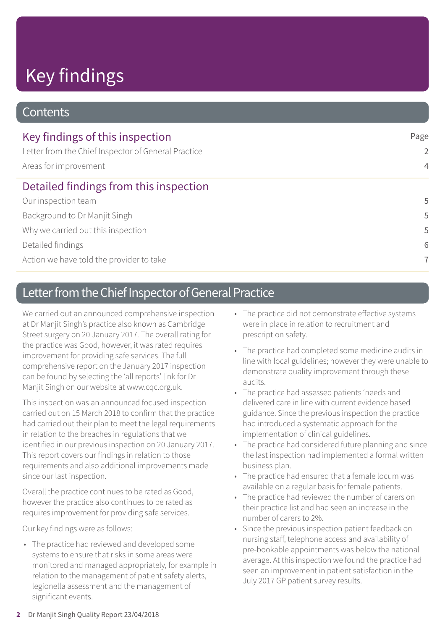# Key findings

### **Contents**

| Key findings of this inspection                                              | Page           |
|------------------------------------------------------------------------------|----------------|
| Letter from the Chief Inspector of General Practice<br>Areas for improvement | $\overline{2}$ |
|                                                                              | $\overline{4}$ |
| Detailed findings from this inspection                                       |                |
| Our inspection team                                                          | 5              |
| Background to Dr Manjit Singh                                                | 5              |
| Why we carried out this inspection                                           | 5              |
| Detailed findings                                                            | 6              |
| Action we have told the provider to take                                     | $\overline{7}$ |

## Letter from the Chief Inspector of General Practice

We carried out an announced comprehensive inspection at Dr Manjit Singh's practice also known as Cambridge Street surgery on 20 January 2017. The overall rating for the practice was Good, however, it was rated requires improvement for providing safe services. The full comprehensive report on the January 2017 inspection can be found by selecting the 'all reports' link for Dr Manjit Singh on our website at www.cqc.org.uk.

This inspection was an announced focused inspection carried out on 15 March 2018 to confirm that the practice had carried out their plan to meet the legal requirements in relation to the breaches in regulations that we identified in our previous inspection on 20 January 2017. This report covers our findings in relation to those requirements and also additional improvements made since our last inspection.

Overall the practice continues to be rated as Good, however the practice also continues to be rated as requires improvement for providing safe services.

Our key findings were as follows:

• The practice had reviewed and developed some systems to ensure that risks in some areas were monitored and managed appropriately, for example in relation to the management of patient safety alerts, legionella assessment and the management of significant events.

- The practice did not demonstrate effective systems were in place in relation to recruitment and prescription safety.
- The practice had completed some medicine audits in line with local guidelines; however they were unable to demonstrate quality improvement through these audits.
- The practice had assessed patients 'needs and delivered care in line with current evidence based guidance. Since the previous inspection the practice had introduced a systematic approach for the implementation of clinical guidelines.
- The practice had considered future planning and since the last inspection had implemented a formal written business plan.
- The practice had ensured that a female locum was available on a regular basis for female patients.
- The practice had reviewed the number of carers on their practice list and had seen an increase in the number of carers to 2%.
- Since the previous inspection patient feedback on nursing staff, telephone access and availability of pre-bookable appointments was below the national average. At this inspection we found the practice had seen an improvement in patient satisfaction in the July 2017 GP patient survey results.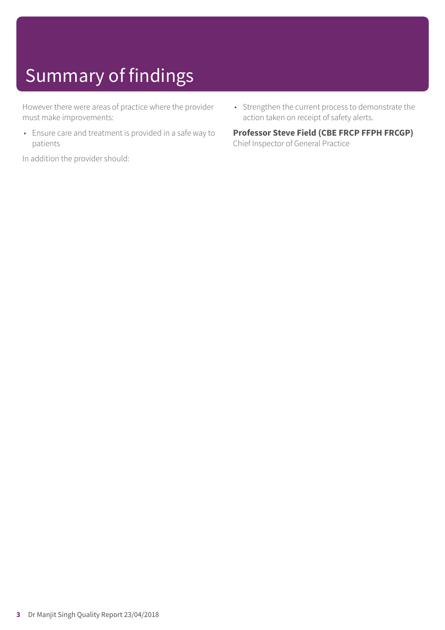# Summary of findings

However there were areas of practice where the provider must make improvements:

• Ensure care and treatment is provided in a safe way to patients

In addition the provider should:

• Strengthen the current process to demonstrate the action taken on receipt of safety alerts.

### **Professor Steve Field (CBE FRCP FFPH FRCGP)**

Chief Inspector of General Practice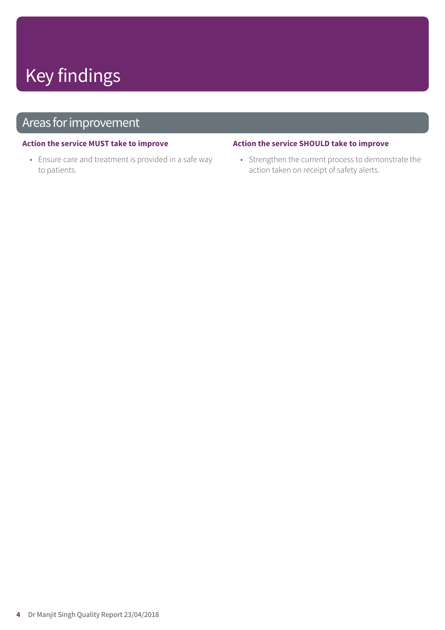# Key findings

## Areas for improvement

#### **Action the service MUST take to improve**

• Ensure care and treatment is provided in a safe way to patients.

#### **Action the service SHOULD take to improve**

• Strengthen the current process to demonstrate the action taken on receipt of safety alerts.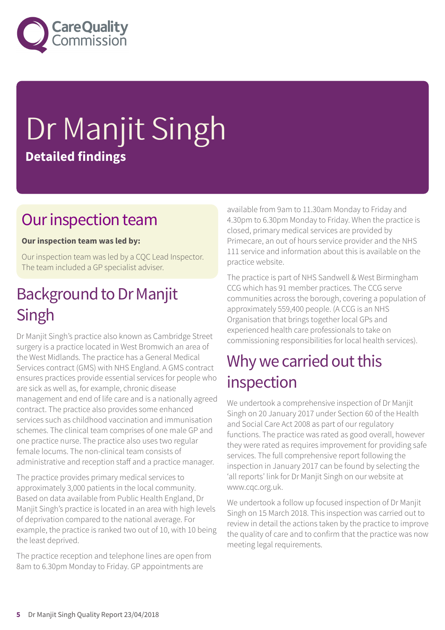

# Dr Manjit Singh **Detailed findings**

## Our inspection team

### **Our inspection team was led by:**

Our inspection team was led by a CQC Lead Inspector. The team included a GP specialist adviser.

## Background to Dr Manjit Singh

Dr Manjit Singh's practice also known as Cambridge Street surgery is a practice located in West Bromwich an area of the West Midlands. The practice has a General Medical Services contract (GMS) with NHS England. A GMS contract ensures practices provide essential services for people who are sick as well as, for example, chronic disease management and end of life care and is a nationally agreed contract. The practice also provides some enhanced services such as childhood vaccination and immunisation schemes. The clinical team comprises of one male GP and one practice nurse. The practice also uses two regular female locums. The non-clinical team consists of administrative and reception staff and a practice manager.

The practice provides primary medical services to approximately 3,000 patients in the local community. Based on data available from Public Health England, Dr Manjit Singh's practice is located in an area with high levels of deprivation compared to the national average. For example, the practice is ranked two out of 10, with 10 being the least deprived.

The practice reception and telephone lines are open from 8am to 6.30pm Monday to Friday. GP appointments are

available from 9am to 11.30am Monday to Friday and 4.30pm to 6.30pm Monday to Friday. When the practice is closed, primary medical services are provided by Primecare, an out of hours service provider and the NHS 111 service and information about this is available on the practice website.

The practice is part of NHS Sandwell & West Birmingham CCG which has 91 member practices. The CCG serve communities across the borough, covering a population of approximately 559,400 people. (A CCG is an NHS Organisation that brings together local GPs and experienced health care professionals to take on commissioning responsibilities for local health services).

## Why we carried out this inspection

We undertook a comprehensive inspection of Dr Manjit Singh on 20 January 2017 under Section 60 of the Health and Social Care Act 2008 as part of our regulatory functions. The practice was rated as good overall, however they were rated as requires improvement for providing safe services. The full comprehensive report following the inspection in January 2017 can be found by selecting the 'all reports' link for Dr Manjit Singh on our website at www.cqc.org.uk.

We undertook a follow up focused inspection of Dr Manjit Singh on 15 March 2018. This inspection was carried out to review in detail the actions taken by the practice to improve the quality of care and to confirm that the practice was now meeting legal requirements.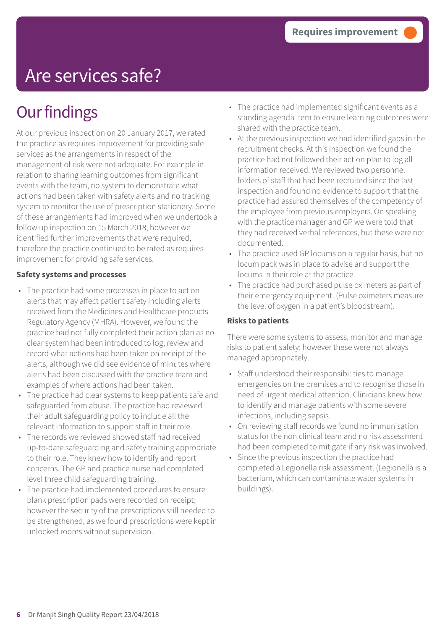## Are services safe?

## **Our findings**

At our previous inspection on 20 January 2017, we rated the practice as requires improvement for providing safe services as the arrangements in respect of the management of risk were not adequate. For example in relation to sharing learning outcomes from significant events with the team, no system to demonstrate what actions had been taken with safety alerts and no tracking system to monitor the use of prescription stationery. Some of these arrangements had improved when we undertook a follow up inspection on 15 March 2018, however we identified further improvements that were required, therefore the practice continued to be rated as requires improvement for providing safe services.

### **Safety systems and processes**

- The practice had some processes in place to act on alerts that may affect patient safety including alerts received from the Medicines and Healthcare products Regulatory Agency (MHRA). However, we found the practice had not fully completed their action plan as no clear system had been introduced to log, review and record what actions had been taken on receipt of the alerts, although we did see evidence of minutes where alerts had been discussed with the practice team and examples of where actions had been taken.
- The practice had clear systems to keep patients safe and safeguarded from abuse. The practice had reviewed their adult safeguarding policy to include all the relevant information to support staff in their role.
- The records we reviewed showed staff had received up-to-date safeguarding and safety training appropriate to their role. They knew how to identify and report concerns. The GP and practice nurse had completed level three child safeguarding training.
- The practice had implemented procedures to ensure blank prescription pads were recorded on receipt; however the security of the prescriptions still needed to be strengthened, as we found prescriptions were kept in unlocked rooms without supervision.
- The practice had implemented significant events as a standing agenda item to ensure learning outcomes were shared with the practice team.
- At the previous inspection we had identified gaps in the recruitment checks. At this inspection we found the practice had not followed their action plan to log all information received. We reviewed two personnel folders of staff that had been recruited since the last inspection and found no evidence to support that the practice had assured themselves of the competency of the employee from previous employers. On speaking with the practice manager and GP we were told that they had received verbal references, but these were not documented.
- The practice used GP locums on a regular basis, but no locum pack was in place to advise and support the locums in their role at the practice.
- The practice had purchased pulse oximeters as part of their emergency equipment. (Pulse oximeters measure the level of oxygen in a patient's bloodstream).

### **Risks to patients**

There were some systems to assess, monitor and manage risks to patient safety; however these were not always managed appropriately.

- Staff understood their responsibilities to manage emergencies on the premises and to recognise those in need of urgent medical attention. Clinicians knew how to identify and manage patients with some severe infections, including sepsis.
- On reviewing staff records we found no immunisation status for the non clinical team and no risk assessment had been completed to mitigate if any risk was involved.
- Since the previous inspection the practice had completed a Legionella risk assessment. (Legionella is a bacterium, which can contaminate water systems in buildings).